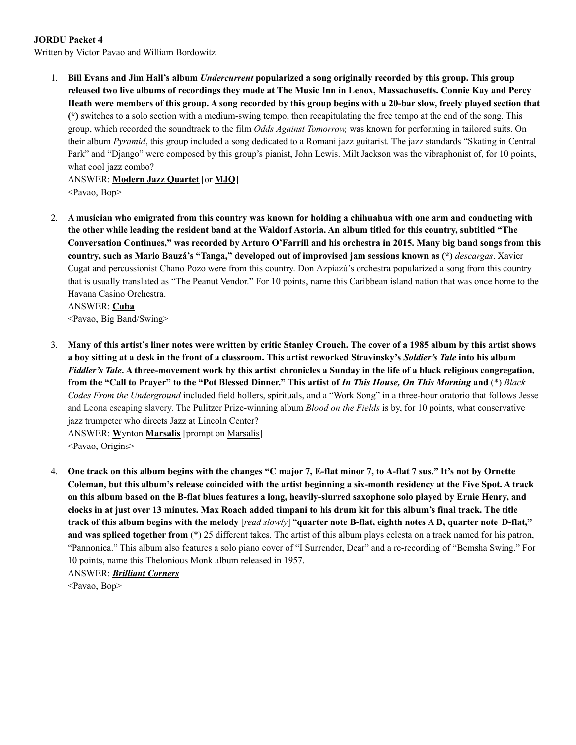## **JORDU Packet 4**

Written by Victor Pavao and William Bordowitz

1. Bill Evans and Jim Hall's album *Undercurrent* popularized a song originally recorded by this group. This group released two live albums of recordings they made at The Music Inn in Lenox, Massachusetts. Connie Kay and Percy Heath were members of this group. A song recorded by this group begins with a 20-bar slow, freely played section that **(\*)** switches to a solo section with a medium-swing tempo, then recapitulating the free tempo at the end of the song. This group, which recorded the soundtrack to the film *Odds Against Tomorrow,* was known for performing in tailored suits. On their album *Pyramid*, this group included a song dedicated to a Romani jazz guitarist. The jazz standards "Skating in Central Park" and "Django" were composed by this group's pianist, John Lewis. Milt Jackson was the vibraphonist of, for 10 points, what cool jazz combo?

ANSWER: **Modern Jazz Quartet** [or **MJQ**] <Pavao, Bop>

2. A musician who emigrated from this country was known for holding a chihuahua with one arm and conducting with the other while leading the resident band at the Waldorf Astoria. An album titled for this country, subtitled "The Conversation Continues," was recorded by Arturo O'Farrill and his orchestra in 2015. Many big band songs from this **country, such as Mario Bauzá's "Tanga," developed out of improvised jam sessions known as (\*)** *descargas*. Xavier Cugat and percussionist Chano Pozo were from this country. Don Azpiazú's orchestra popularized a song from this country that is usually translated as "The Peanut Vendor." For 10 points, name this Caribbean island nation that was once home to the Havana Casino Orchestra.

ANSWER: **Cuba** <Pavao, Big Band/Swing>

- 3. Many of this artist's liner notes were written by critic Stanley Crouch. The cover of a 1985 album by this artist shows a boy sitting at a desk in the front of a classroom. This artist reworked Stravinsky's Soldier's Tale into his album Fiddler's Tale. A three-movement work by this artist chronicles a Sunday in the life of a black religious congregation, from the "Call to Prayer" to the "Pot Blessed Dinner." This artist of In This House, On This Morning and (\*) Black *Codes From the Underground* included field hollers, spirituals, and a "Work Song" in a three-hour oratorio that follows Jesse and Leona escaping slavery. The Pulitzer Prize-winning album *Blood on the Fields* is by, for 10 points, what conservative jazz trumpeter who directs Jazz at Lincoln Center? ANSWER: **W**ynton **Marsalis** [prompt on Marsalis] <Pavao, Origins>
- 4. One track on this album begins with the changes "C major 7, E-flat minor 7, to A-flat 7 sus." It's not by Ornette Coleman, but this album's release coincided with the artist beginning a six-month residency at the Five Spot. A track on this album based on the B-flat blues features a long, heavily-slurred saxophone solo played by Ernie Henry, and clocks in at just over 13 minutes. Max Roach added timpani to his drum kit for this album's final track. The title track of this album begins with the melody [read slowly] "quarter note B-flat, eighth notes A D, quarter note D-flat," **and was spliced together from** (\*) 25 different takes. The artist of this album plays celesta on a track named for his patron, "Pannonica." This album also features a solo piano cover of "I Surrender, Dear" and a re-recording of "Bemsha Swing." For 10 points, name this Thelonious Monk album released in 1957.

ANSWER: *Brilliant Corners* <Pavao, Bop>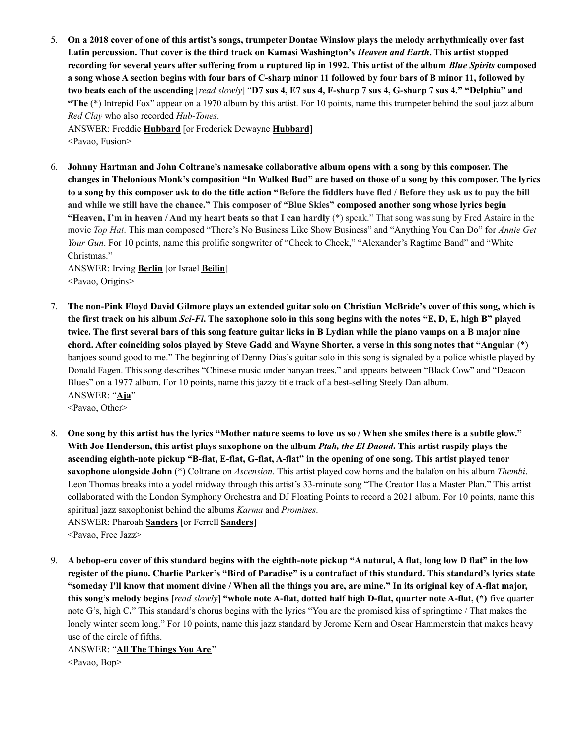5. On a 2018 cover of one of this artist's songs, trumpeter Dontae Winslow plays the melody arrhythmically over fast Latin percussion. That cover is the third track on Kamasi Washington's *Heaven and Earth*. This artist stopped recording for several years after suffering from a ruptured lip in 1992. This artist of the album Blue Spirits composed a song whose A section begins with four bars of C-sharp minor 11 followed by four bars of B minor 11, followed by two beats each of the ascending [read slowly] "D7 sus 4, E7 sus 4, F-sharp 7 sus 4, G-sharp 7 sus 4." "Delphia" and **"The** (\*) Intrepid Fox" appear on a 1970 album by this artist. For 10 points, name this trumpeter behind the soul jazz album *Red Clay* who also recorded *Hub-Tones*.

ANSWER: Freddie **Hubbard** [or Frederick Dewayne **Hubbard**] <Pavao, Fusion>

6. **Johnny Hartman and John Coltrane's namesake collaborative album opens with a song by this composer. The** changes in Thelonious Monk's composition "In Walked Bud" are based on those of a song by this composer. The lyrics to a song by this composer ask to do the title action "Before the fiddlers have fled / Before they ask us to pay the bill and while we still have the chance." This composer of "Blue Skies" composed another song whose lyrics begin **"Heaven, I'm in heaven / And my heart beats so that I can hardly** (\*) speak." That song was sung by Fred Astaire in the movie *Top Hat*. This man composed "There's No Business Like Show Business" and "Anything You Can Do" for *Annie Get Your Gun*. For 10 points, name this prolific songwriter of "Cheek to Cheek," "Alexander's Ragtime Band" and "White Christmas."

ANSWER: Irving **Berlin** [or Israel **Beilin**] <Pavao, Origins>

- 7. The non-Pink Floyd David Gilmore plays an extended guitar solo on Christian McBride's cover of this song, which is the first track on his album Sci-Fi. The saxophone solo in this song begins with the notes "E, D, E, high B" played twice. The first several bars of this song feature guitar licks in B Lydian while the piano vamps on a B major nine chord. After coinciding solos played by Steve Gadd and Wayne Shorter, a verse in this song notes that "Angular (\*) banjoes sound good to me." The beginning of Denny Dias's guitar solo in this song is signaled by a police whistle played by Donald Fagen. This song describes "Chinese music under banyan trees," and appears between "Black Cow" and "Deacon Blues" on a 1977 album. For 10 points, name this jazzy title track of a best-selling Steely Dan album. ANSWER: "**Aja**" <Pavao, Other>
- 8. One song by this artist has the lyrics "Mother nature seems to love us so / When she smiles there is a subtle glow." With Joe Henderson, this artist plays saxophone on the album *Ptah, the El Daoud*. This artist raspily plays the ascending eighth-note pickup "B-flat, E-flat, G-flat, A-flat" in the opening of one song. This artist played tenor **saxophone alongside John** (\*) Coltrane on *Ascension*. This artist played cow horns and the balafon on his album *Thembi*. Leon Thomas breaks into a yodel midway through this artist's 33-minute song "The Creator Has a Master Plan." This artist collaborated with the London Symphony Orchestra and DJ Floating Points to record a 2021 album. For 10 points, name this spiritual jazz saxophonist behind the albums *Karma* and *Promises*. ANSWER: Pharoah **Sanders** [or Ferrell **Sanders**] <Pavao, Free Jazz>
- 9. A bebop-era cover of this standard begins with the eighth-note pickup "A natural, A flat, long low D flat" in the low register of the piano. Charlie Parker's "Bird of Paradise" is a contrafact of this standard. This standard's lyrics state "someday I'll know that moment divine / When all the things you are, are mine." In its original key of A-flat major, this song's melody begins [read slowly] "whole note A-flat, dotted half high D-flat, quarter note A-flat, (\*) five quarter note G's, high C**.**" This standard's chorus begins with the lyrics "You are the promised kiss of springtime / That makes the lonely winter seem long." For 10 points, name this jazz standard by Jerome Kern and Oscar Hammerstein that makes heavy use of the circle of fifths.

ANSWER: "**All The Things You Are** "

<Pavao, Bop>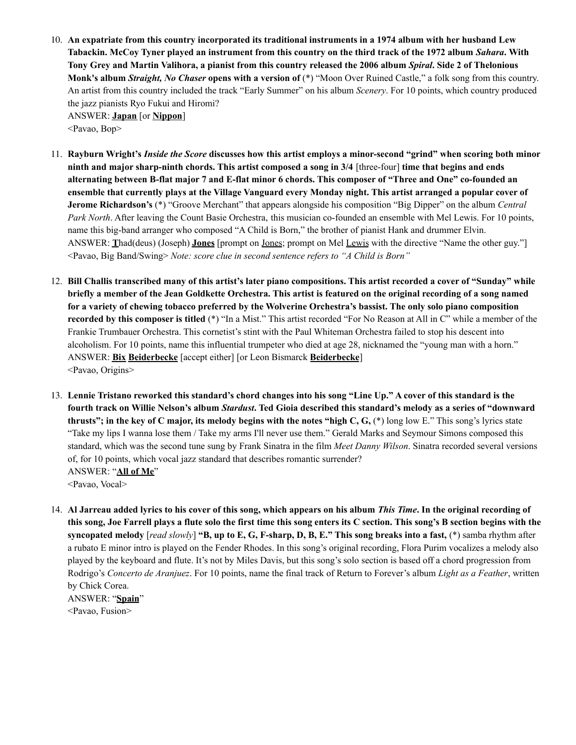- 10. An expatriate from this country incorporated its traditional instruments in a 1974 album with her husband Lew Tabackin. McCoy Tyner played an instrument from this country on the third track of the 1972 album Sahara. With Tony Grey and Martin Valihora, a pianist from this country released the 2006 album Spiral. Side 2 of Thelonious **Monk's album** *Straight, No Chaser* **opens with a version of** (\*) "Moon Over Ruined Castle," a folk song from this country. An artist from this country included the track "Early Summer" on his album *Scenery*. For 10 points, which country produced the jazz pianists Ryo Fukui and Hiromi? ANSWER: **Japan** [or **Nippon**] <Pavao, Bop>
- 11. Rayburn Wright's *Inside the Score* discusses how this artist employs a minor-second "grind" when scoring both minor ninth and major sharp-ninth chords. This artist composed a song in 3/4 [three-four] time that begins and ends alternating between B-flat major 7 and E-flat minor 6 chords. This composer of "Three and One" co-founded an ensemble that currently plays at the Village Vanguard every Monday night. This artist arranged a popular cover of **Jerome Richardson's** (\*) "Groove Merchant" that appears alongside his composition "Big Dipper" on the album *Central Park North*. After leaving the Count Basie Orchestra, this musician co-founded an ensemble with Mel Lewis. For 10 points, name this big-band arranger who composed "A Child is Born," the brother of pianist Hank and drummer Elvin. ANSWER: **T**had(deus) (Joseph) **Jones** [prompt on Jones; prompt on Mel Lewis with the directive "Name the other guy."] <Pavao, Big Band/Swing> *Note: score clue in second sentence refers to "A Child is Born"*
- 12. Bill Challis transcribed many of this artist's later piano compositions. This artist recorded a cover of "Sunday" while briefly a member of the Jean Goldkette Orchestra. This artist is featured on the original recording of a song named for a variety of chewing tobacco preferred by the Wolverine Orchestra's bassist. The only solo piano composition **recorded by this composer is titled** (\*) "In a Mist." This artist recorded "For No Reason at All in C" while a member of the Frankie Trumbauer Orchestra. This cornetist's stint with the Paul Whiteman Orchestra failed to stop his descent into alcoholism. For 10 points, name this influential trumpeter who died at age 28, nicknamed the "young man with a horn." ANSWER: **Bix Beiderbecke** [accept either] [or Leon Bismarck **Beiderbecke**] <Pavao, Origins>
- 13. Lennie Tristano reworked this standard's chord changes into his song "Line Up." A cover of this standard is the fourth track on Willie Nelson's album Stardust. Ted Gioia described this standard's melody as a series of "downward thrusts"; in the key of C major, its melody begins with the notes "high C, G,  $(*)$  long low E." This song's lyrics state "Take my lips I wanna lose them / Take my arms I'll never use them." Gerald Marks and Seymour Simons composed this standard, which was the second tune sung by Frank Sinatra in the film *Meet Danny Wilson*. Sinatra recorded several versions of, for 10 points, which vocal jazz standard that describes romantic surrender? ANSWER: "**All of Me**" <Pavao, Vocal>

14. Al Jarreau added lyrics to his cover of this song, which appears on his album This Time. In the original recording of this song, Joe Farrell plays a flute solo the first time this song enters its C section. This song's B section begins with the syncopated melody [read slowly] "B, up to E, G, F-sharp, D, B, E." This song breaks into a fast, (\*) samba rhythm after a rubato E minor intro is played on the Fender Rhodes. In this song's original recording, Flora Purim vocalizes a melody also played by the keyboard and flute. It's not by Miles Davis, but this song's solo section is based off a chord progression from Rodrigo's *Concerto de Aranjuez*. For 10 points, name the final track of Return to Forever's album *Light as a Feather*, written by Chick Corea.

ANSWER: "**Spain**" <Pavao, Fusion>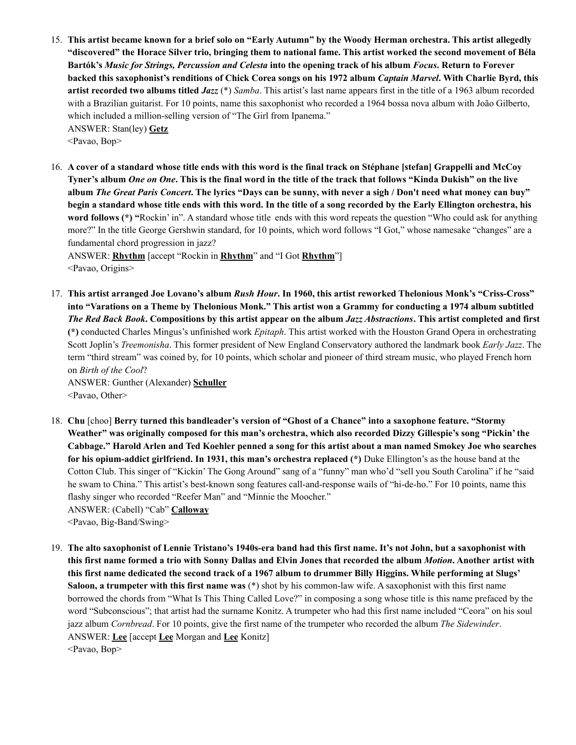15. This artist became known for a brief solo on "Early Autumn" by the Woody Herman orchestra. This artist allegedly "discovered" the Horace Silver trio, bringing them to national fame. This artist worked the second movement of Béla Bartók's Music for Strings, Percussion and Celesta into the opening track of his album Focus. Return to Forever backed this saxophonist's renditions of Chick Corea songs on his 1972 album Captain Marvel. With Charlie Byrd, this **artist recorded two albums titled** *Jazz* (\*) *Samba*. This artist's last name appears first in the title of a 1963 album recorded with a Brazilian guitarist. For 10 points, name this saxophonist who recorded a 1964 bossa nova album with João Gilberto, which included a million-selling version of "The Girl from Ipanema." ANSWER: Stan(ley) **Getz**

<Pavao, Bop>

16. A cover of a standard whose title ends with this word is the final track on Stéphane [stefan] Grappelli and McCov Tyner's album One on One. This is the final word in the title of the track that follows "Kinda Dukish" on the live album The Great Paris Concert. The lyrics "Days can be sunny, with never a sigh / Don't need what money can buy" begin a standard whose title ends with this word. In the title of a song recorded by the Early Ellington orchestra, his **word follows (\*) "**Rockin' in". A standard whose title ends with this word repeats the question "Who could ask for anything more?" In the title George Gershwin standard, for 10 points, which word follows "I Got," whose namesake "changes" are a fundamental chord progression in jazz?

ANSWER: **Rhythm** [accept "Rockin in **Rhythm**" and "I Got **Rhythm**"] <Pavao, Origins>

17. This artist arranged Joe Lovano's album Rush Hour. In 1960, this artist reworked Thelonious Monk's "Criss-Cross" into "Varations on a Theme by Thelonious Monk." This artist won a Grammy for conducting a 1974 album subtitled The Red Back Book. Compositions by this artist appear on the album Jazz Abstractions. This artist completed and first **(\*)** conducted Charles Mingus's unfinished work *Epitaph*. This artist worked with the Houston Grand Opera in orchestrating Scott Joplin's *Treemonisha*. This former president of New England Conservatory authored the landmark book *Early Jazz*. The term "third stream" was coined by, for 10 points, which scholar and pioneer of third stream music, who played French horn on *Birth of the Cool*? ANSWER: Gunther (Alexander) **Schuller**

<Pavao, Other>

- 18. **Chu** [choo] **Berry turned this bandleader's version of "Ghost of a Chance" into a saxophone feature. "Stormy** Weather" was originally composed for this man's orchestra, which also recorded Dizzy Gillespie's song "Pickin' the Cabbage." Harold Arlen and Ted Koehler penned a song for this artist about a man named Smokey Joe who searches **for his opium-addict girlfriend. In 1931, this man's orchestra replaced (\*)** Duke Ellington's as the house band at the Cotton Club. This singer of "Kickin' The Gong Around" sang of a "funny" man who'd "sell you South Carolina" if he "said he swam to China." This artist's best-known song features call-and-response wails of "hi-de-ho." For 10 points, name this flashy singer who recorded "Reefer Man" and "Minnie the Moocher." ANSWER: (Cabell) "Cab" **Calloway**
	- <Pavao, Big-Band/Swing>
- 19. The alto saxophonist of Lennie Tristano's 1940s-era band had this first name. It's not John, but a saxophonist with this first name formed a trio with Sonny Dallas and Elvin Jones that recorded the album Motion. Another artist with this first name dedicated the second track of a 1967 album to drummer Billy Higgins. While performing at Slugs' **Saloon, a trumpeter with this first name was** (\*) shot by his common-law wife. A saxophonist with this first name borrowed the chords from "What Is This Thing Called Love?" in composing a song whose title is this name prefaced by the word "Subconscious"; that artist had the surname Konitz. A trumpeter who had this first name included "Ceora" on his soul jazz album *Cornbread*. For 10 points, give the first name of the trumpeter who recorded the album *The Sidewinder*. ANSWER: **Lee** [accept **Lee** Morgan and **Lee** Konitz] <Pavao, Bop>